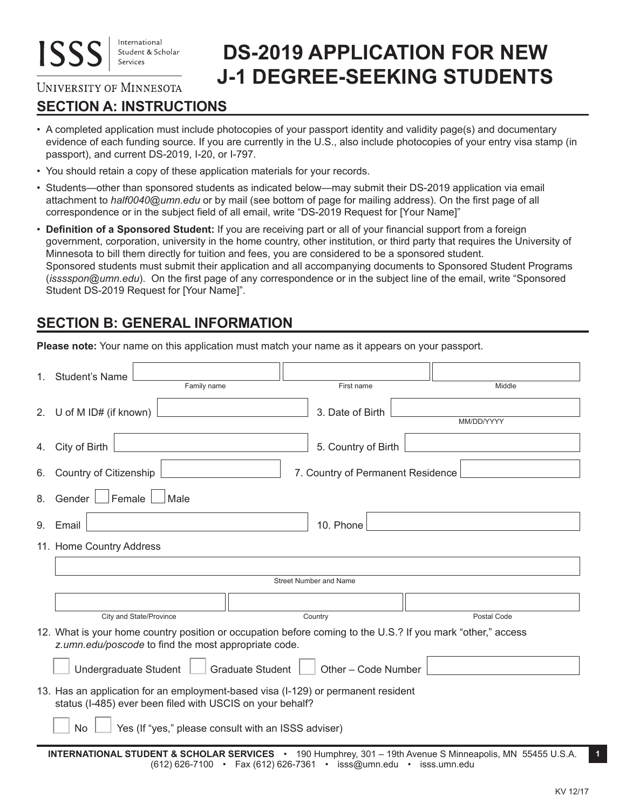# **DS-2019 APPLICATION FOR NEW J-1 DEGREE-SEEKING STUDENTS**

### **UNIVERSITY OF MINNESOTA**

# **SECTION A: INSTRUCTIONS**

- A completed application must include photocopies of your passport identity and validity page(s) and documentary evidence of each funding source. If you are currently in the U.S., also include photocopies of your entry visa stamp (in passport), and current DS-2019, I-20, or I-797.
- You should retain a copy of these application materials for your records.
- Students—other than sponsored students as indicated below—may submit their DS-2019 application via email attachment to *half0040@umn.edu* or by mail (see bottom of page for mailing address). On the first page of all correspondence or in the subject field of all email, write "DS-2019 Request for [Your Name]"
- **Definition of a Sponsored Student:** If you are receiving part or all of your financial support from a foreign government, corporation, university in the home country, other institution, or third party that requires the University of Minnesota to bill them directly for tuition and fees, you are considered to be a sponsored student. Sponsored students must submit their application and all accompanying documents to Sponsored Student Programs (*isssspon@umn.edu*). On the first page of any correspondence or in the subject line of the email, write "Sponsored Student DS-2019 Request for [Your Name]".

# **SECTION B: GENERAL INFORMATION**

**Please note:** Your name on this application must match your name as it appears on your passport.

|    | 1. Student's Name<br>Family name                                                                                                                                    | First name                        | Middle      |  |
|----|---------------------------------------------------------------------------------------------------------------------------------------------------------------------|-----------------------------------|-------------|--|
|    |                                                                                                                                                                     |                                   |             |  |
|    | 2. U of M ID# (if known)                                                                                                                                            | 3. Date of Birth                  |             |  |
|    |                                                                                                                                                                     |                                   | MM/DD/YYYY  |  |
|    | 4. City of Birth                                                                                                                                                    | 5. Country of Birth               |             |  |
| 6. | Country of Citizenship                                                                                                                                              | 7. Country of Permanent Residence |             |  |
| 8. | Female<br>Gender  <br>Male                                                                                                                                          |                                   |             |  |
|    | 10. Phone<br>9. Email                                                                                                                                               |                                   |             |  |
|    | 11. Home Country Address                                                                                                                                            |                                   |             |  |
|    |                                                                                                                                                                     |                                   |             |  |
|    | Street Number and Name                                                                                                                                              |                                   |             |  |
|    |                                                                                                                                                                     |                                   |             |  |
|    | City and State/Province                                                                                                                                             | Country                           | Postal Code |  |
|    | 12. What is your home country position or occupation before coming to the U.S.? If you mark "other," access<br>z.umn.edu/poscode to find the most appropriate code. |                                   |             |  |
|    | <b>Graduate Student</b><br>Undergraduate Student<br>Other - Code Number                                                                                             |                                   |             |  |
|    | 13. Has an application for an employment-based visa (I-129) or permanent resident<br>status (I-485) ever been filed with USCIS on your behalf?                      |                                   |             |  |
|    | Yes (If "yes," please consult with an ISSS adviser)<br><b>No</b>                                                                                                    |                                   |             |  |
|    | <b>INTERNATIONAL STUDENT &amp; SCHOLAR SERVICES</b> • 190 Humphrey, 301 - 19th Avenue S Minneapolis, MN 55455 U.S.A.                                                |                                   |             |  |

**INTERNATIONAL STUDENT & SCHOLAR SERVICES** • 190 Humphrey, 301 – 19th Avenue S Minneapolis, MN 55455 U.S.A. **1** (612) 626-7100 • Fax (612) 626-7361 • isss@umn.edu • isss.umn.edu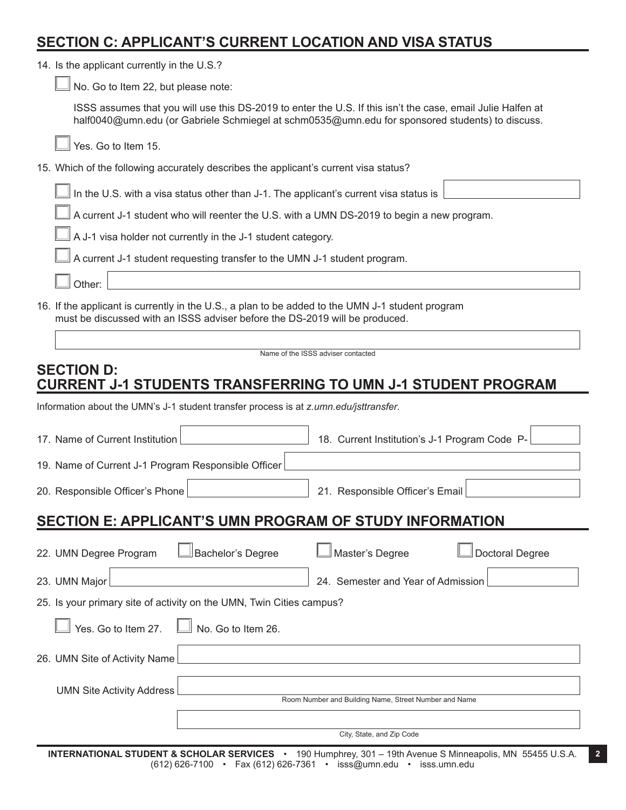### **SECTION C: APPLICANT'S CURRENT LOCATION AND VISA STATUS**

| 14. Is the applicant currently in the U.S.? |  |
|---------------------------------------------|--|
|---------------------------------------------|--|

No. Go to Item 22, but please note:

ISSS assumes that you will use this DS-2019 to enter the U.S. If this isn't the case, email Julie Halfen at half0040@umn.edu (or Gabriele Schmiegel at schm0535@umn.edu for sponsored students) to discuss.

Yes. Go to Item 15.

|  |  | 15. Which of the following accurately describes the applicant's current visa status? |
|--|--|--------------------------------------------------------------------------------------|
|--|--|--------------------------------------------------------------------------------------|

In the U.S. with a visa status other than J-1. The applicant's current visa status is

A current J-1 student who will reenter the U.S. with a UMN DS-2019 to begin a new program.

A J-1 visa holder not currently in the J-1 student category.

A current J-1 student requesting transfer to the UMN J-1 student program.

Other:

16. If the applicant is currently in the U.S., a plan to be added to the UMN J-1 student program must be discussed with an ISSS adviser before the DS-2019 will be produced.

Name of the ISSS adviser contacted

### **SECTION D: CURRENT J-1 STUDENTS TRANSFERRING TO UMN J-1 STUDENT PROGRAM**

Information about the UMN's J-1 student transfer process is at *z.umn.edu/jsttransfer*.

| 17. Name of Current Institution                                      | 18. Current Institution's J-1 Program Code P-         |  |  |  |
|----------------------------------------------------------------------|-------------------------------------------------------|--|--|--|
| 19. Name of Current J-1 Program Responsible Officer                  |                                                       |  |  |  |
| 20. Responsible Officer's Phone                                      | 21. Responsible Officer's Email                       |  |  |  |
| <b>SECTION E: APPLICANT'S UMN PROGRAM OF STUDY INFORMATION</b>       |                                                       |  |  |  |
| Bachelor's Degree<br>22. UMN Degree Program                          | Master's Degree<br><b>Doctoral Degree</b>             |  |  |  |
| 23. UMN Major                                                        | 24. Semester and Year of Admission                    |  |  |  |
| 25. Is your primary site of activity on the UMN, Twin Cities campus? |                                                       |  |  |  |
| Yes. Go to Item 27.<br>No. Go to Item 26.                            |                                                       |  |  |  |
| 26. UMN Site of Activity Name                                        |                                                       |  |  |  |
| <b>UMN Site Activity Address</b>                                     | Room Number and Building Name, Street Number and Name |  |  |  |
|                                                                      |                                                       |  |  |  |
| City, State, and Zip Code                                            |                                                       |  |  |  |

**INTERNATIONAL STUDENT & SCHOLAR SERVICES** • 190 Humphrey, 301 – 19th Avenue S Minneapolis, MN 55455 U.S.A. **2** (612) 626-7100 • Fax (612) 626-7361 • isss@umn.edu • isss.umn.edu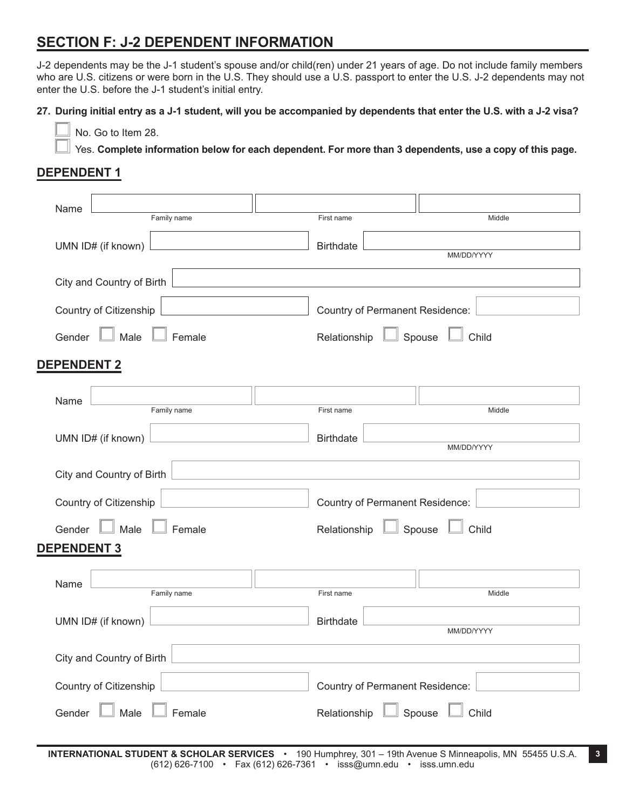### **SECTION F: J-2 DEPENDENT INFORMATION**

J-2 dependents may be the J-1 student's spouse and/or child(ren) under 21 years of age. Do not include family members who are U.S. citizens or were born in the U.S. They should use a U.S. passport to enter the U.S. J-2 dependents may not enter the U.S. before the J-1 student's initial entry.

**27. During initial entry as a J-1 student, will you be accompanied by dependents that enter the U.S. with a J-2 visa?**

No. Go to Item 28.

Yes. **Complete information below for each dependent. For more than 3 dependents, use a copy of this page.**

#### **DEPENDENT 1**

| Name                            |                                            |
|---------------------------------|--------------------------------------------|
| Family name                     | First name<br>Middle                       |
| UMN ID# (if known)              | <b>Birthdate</b><br>MM/DD/YYYY             |
| City and Country of Birth       |                                            |
| Country of Citizenship          | Country of Permanent Residence:            |
| Male<br>Gender<br>Female        | Spouse Local Child<br>Relationship         |
| <b>DEPENDENT 2</b>              |                                            |
| Name<br>Family name             | First name<br>Middle                       |
| UMN ID# (if known)              | <b>Birthdate</b><br>MM/DD/YYYY             |
| City and Country of Birth       |                                            |
| Country of Citizenship          | <b>Country of Permanent Residence:</b>     |
| Male<br>Gender<br>Female        | Spouse<br>Relationship<br>Child            |
| <b>DEPENDENT 3</b>              |                                            |
| Name<br>Family name             | First name<br>Middle                       |
| UMN ID# (if known)              | <b>Birthdate</b><br>MM/DD/YYYY             |
| City and Country of Birth       |                                            |
| Country of Citizenship          | Country of Permanent Residence:            |
| Male $\Box$<br>Female<br>Gender | $\Box$ Spouse $\Box$ Child<br>Relationship |

**INTERNATIONAL STUDENT & SCHOLAR SERVICES** • 190 Humphrey, 301 – 19th Avenue S Minneapolis, MN 55455 U.S.A. **3** (612) 626-7100 • Fax (612) 626-7361 • isss@umn.edu • isss.umn.edu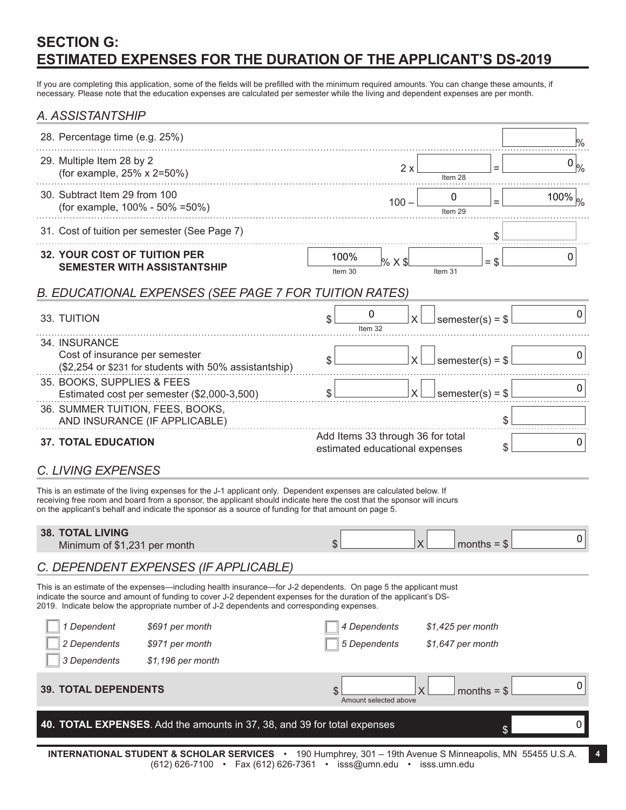# **SECTION G: ESTIMATED EXPENSES FOR THE DURATION OF THE APPLICANT'S DS-2019**

If you are completing this application, some of the fields will be prefilled with the minimum required amounts. You can change these amounts, if necessary. Please note that the education expenses are calculated per semester while the living and dependent expenses are per month.

#### *A. ASSISTANTSHIP*

| 28. Percentage time (e.g. 25%)                                                                                                                                                                                                                                                                                                                       |                                                                     |                         | %              |
|------------------------------------------------------------------------------------------------------------------------------------------------------------------------------------------------------------------------------------------------------------------------------------------------------------------------------------------------------|---------------------------------------------------------------------|-------------------------|----------------|
| 29. Multiple Item 28 by 2<br>(for example, 25% x 2=50%)                                                                                                                                                                                                                                                                                              | 2x                                                                  | Item <sub>28</sub>      | $0\, _{\%}$    |
| 30. Subtract Item 29 from 100<br>(for example, 100% - 50% = 50%)                                                                                                                                                                                                                                                                                     | $100 -$                                                             | 0<br>Item 29            | 100% $ _{\%}$  |
| 31. Cost of tuition per semester (See Page 7)                                                                                                                                                                                                                                                                                                        |                                                                     | \$                      |                |
| <b>32. YOUR COST OF TUITION PER</b><br><b>SEMESTER WITH ASSISTANTSHIP</b>                                                                                                                                                                                                                                                                            | 100%<br>% X \$<br>Item 30                                           | $=$ \$<br>Item 31       | 0              |
| B. EDUCATIONAL EXPENSES (SEE PAGE 7 FOR TUITION RATES)                                                                                                                                                                                                                                                                                               |                                                                     |                         |                |
| 33. TUITION                                                                                                                                                                                                                                                                                                                                          | 0<br>S<br>Item 32                                                   | semester(s) = $$$       | 0              |
| 34. INSURANCE<br>Cost of insurance per semester<br>(\$2,254 or \$231 for students with 50% assistantship)                                                                                                                                                                                                                                            | X<br>\$                                                             | semester(s) = $$$       | 0              |
| 35. BOOKS, SUPPLIES & FEES<br>Estimated cost per semester (\$2,000-3,500)<br>36. SUMMER TUITION, FEES, BOOKS,<br>AND INSURANCE (IF APPLICABLE)                                                                                                                                                                                                       | \$<br>X                                                             | semester(s) = $$$<br>\$ | 0              |
| <b>37. TOTAL EDUCATION</b>                                                                                                                                                                                                                                                                                                                           | Add Items 33 through 36 for total<br>estimated educational expenses | \$                      | 0              |
| <b>C. LIVING EXPENSES</b>                                                                                                                                                                                                                                                                                                                            |                                                                     |                         |                |
| This is an estimate of the living expenses for the J-1 applicant only. Dependent expenses are calculated below. If<br>receiving free room and board from a sponsor, the applicant should indicate here the cost that the sponsor will incurs<br>on the applicant's behalf and indicate the sponsor as a source of funding for that amount on page 5. |                                                                     |                         |                |
| <b>38. TOTAL LIVING</b><br>Minimum of \$1,231 per month                                                                                                                                                                                                                                                                                              | \$<br>X                                                             | months $=$ \$           | 0              |
| C. DEPENDENT EXPENSES (IF APPLICABLE)                                                                                                                                                                                                                                                                                                                |                                                                     |                         |                |
| This is an estimate of the expenses—including health insurance—for J-2 dependents. On page 5 the applicant must<br>indicate the source and amount of funding to cover J-2 dependent expenses for the duration of the applicant's DS-<br>2019. Indicate below the appropriate number of J-2 dependents and corresponding expenses.                    |                                                                     |                         |                |
| 1 Dependent<br>\$691 per month                                                                                                                                                                                                                                                                                                                       | 4 Dependents                                                        | $$1,425$ per month      |                |
| 2 Dependents<br>\$971 per month                                                                                                                                                                                                                                                                                                                      | 5 Dependents                                                        | \$1,647 per month       |                |
| 3 Dependents<br>\$1,196 per month                                                                                                                                                                                                                                                                                                                    |                                                                     |                         |                |
| <b>39. TOTAL DEPENDENTS</b>                                                                                                                                                                                                                                                                                                                          | $\frac{1}{2}$<br>X<br>Amount selected above                         | months = $$$            | 0              |
| 40. TOTAL EXPENSES. Add the amounts in 37, 38, and 39 for total expenses                                                                                                                                                                                                                                                                             |                                                                     | $\mathcal{S}$           | $\overline{0}$ |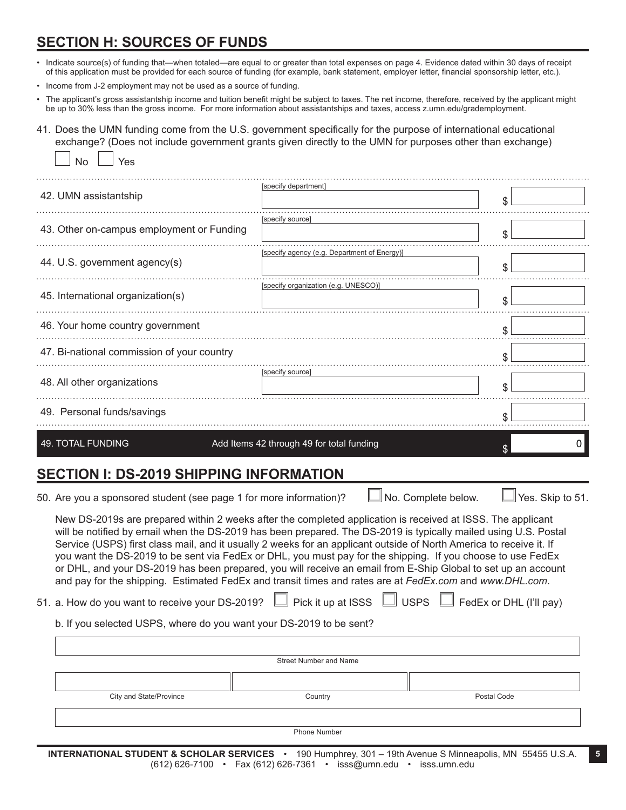### **SECTION H: SOURCES OF FUNDS**

 $\Box$ 

- Indicate source(s) of funding that—when totaled—are equal to or greater than total expenses on page 4. Evidence dated within 30 days of receipt of this application must be provided for each source of funding (for example, bank statement, employer letter, financial sponsorship letter, etc.).
- Income from J-2 employment may not be used as a source of funding.
- The applicant's gross assistantship income and tuition benefit might be subject to taxes. The net income, therefore, received by the applicant might be up to 30% less than the gross income. For more information about assistantships and taxes, access z.umn.edu/grademployment.

41. Does the UMN funding come from the U.S. government specifically for the purpose of international educational exchange? (Does not include government grants given directly to the UMN for purposes other than exchange)

| <b>No</b><br>Yes                           |                                              |    |  |
|--------------------------------------------|----------------------------------------------|----|--|
| 42. UMN assistantship                      | [specify department]                         | \$ |  |
| 43. Other on-campus employment or Funding  | [specify source]                             | \$ |  |
| 44. U.S. government agency(s)              | [specify agency (e.g. Department of Energy)] | \$ |  |
| 45. International organization(s)          | [specify organization (e.g. UNESCO)]         | \$ |  |
| 46. Your home country government           | \$                                           |    |  |
| 47. Bi-national commission of your country |                                              | \$ |  |
| 48. All other organizations                | [specify source]                             | \$ |  |
| 49. Personal funds/savings                 |                                              | \$ |  |
| <b>49. TOTAL FUNDING</b>                   | Add Items 42 through 49 for total funding    | U  |  |

# **SECTION I: DS-2019 SHIPPING INFORMATION**

50. Are you a sponsored student (see page 1 for more information)?  $\Box$  No. Complete below.  $\Box$  Yes. Skip to 51.

New DS-2019s are prepared within 2 weeks after the completed application is received at ISSS. The applicant will be notified by email when the DS-2019 has been prepared. The DS-2019 is typically mailed using U.S. Postal Service (USPS) first class mail, and it usually 2 weeks for an applicant outside of North America to receive it. If you want the DS-2019 to be sent via FedEx or DHL, you must pay for the shipping. If you choose to use FedEx or DHL, and your DS-2019 has been prepared, you will receive an email from E-Ship Global to set up an account and pay for the shipping. Estimated FedEx and transit times and rates are at *FedEx.com* and *www.DHL.com*.

51. a. How do you want to receive your DS-2019?  $\Box$  Pick it up at ISSS  $\Box$  USPS  $\Box$  FedEx or DHL (I'll pay)

b. If you selected USPS, where do you want your DS-2019 to be sent?

| Street Number and Name  |         |             |  |
|-------------------------|---------|-------------|--|
|                         |         |             |  |
| City and State/Province | Country | Postal Code |  |

Phone Number